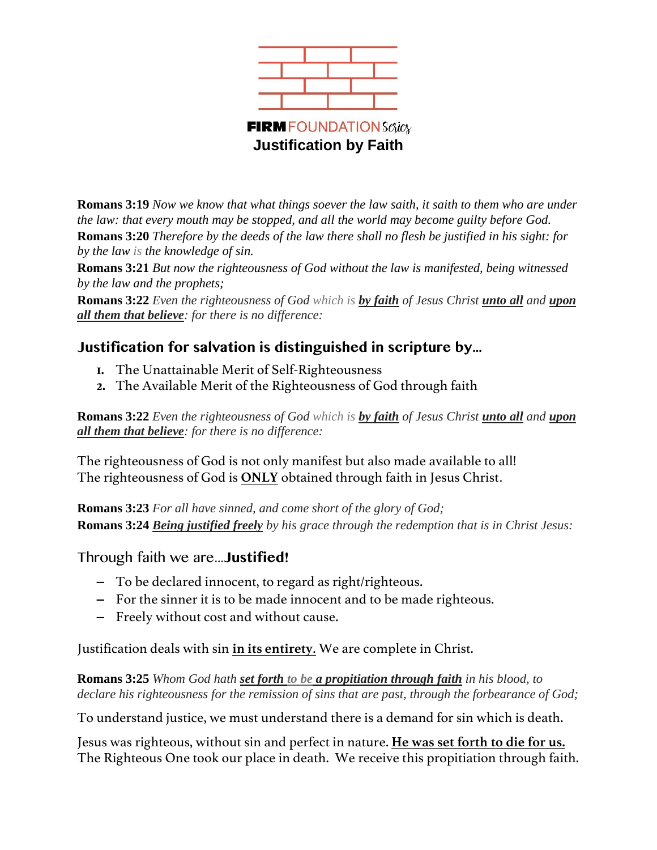

**Romans 3:19** *Now we know that what things soever the law saith, it saith to them who are under the law: that every mouth may be stopped, and all the world may become guilty before God.* **Romans 3:20** *Therefore by the deeds of the law there shall no flesh be justified in his sight: for by the law is the knowledge of sin.*

**Romans 3:21** *But now the righteousness of God without the law is manifested, being witnessed by the law and the prophets;*

**Romans 3:22** *Even the righteousness of God which is by faith of Jesus Christ unto all and upon all them that believe: for there is no difference:*

# **Justification for salvation is distinguished in scripture by…**

- **1.** The Unattainable Merit of Self-Righteousness
- **2.** The Available Merit of the Righteousness of God through faith

**Romans 3:22** *Even the righteousness of God which is by faith of Jesus Christ unto all and upon all them that believe: for there is no difference:*

The righteousness of God is not only manifest but also made available to all! The righteousness of God is **ONLY** obtained through faith in Jesus Christ.

**Romans 3:23** *For all have sinned, and come short of the glory of God;* **Romans 3:24** *Being justified freely by his grace through the redemption that is in Christ Jesus:*

Through faith we are…**Justified!**

- − To be declared innocent, to regard as right/righteous.
- − For the sinner it is to be made innocent and to be made righteous.
- − Freely without cost and without cause.

Justification deals with sin **in its entirety**. We are complete in Christ.

**Romans 3:25** *Whom God hath set forth to be a propitiation through faith in his blood, to declare his righteousness for the remission of sins that are past, through the forbearance of God;*

To understand justice, we must understand there is a demand for sin which is death.

Jesus was righteous, without sin and perfect in nature. **He was set forth to die for us.** The Righteous One took our place in death. We receive this propitiation through faith.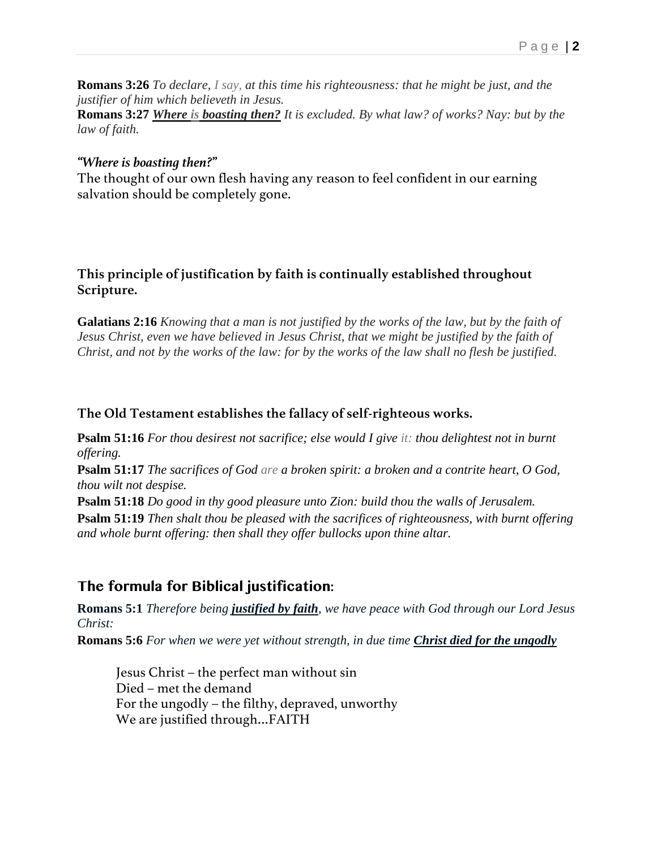**Romans 3:26** *To declare, I say, at this time his righteousness: that he might be just, and the justifier of him which believeth in Jesus.*

**Romans 3:27** *Where is boasting then? It is excluded. By what law? of works? Nay: but by the law of faith.*

#### *"Where is boasting then?"*

The thought of our own flesh having any reason to feel confident in our earning salvation should be completely gone.

#### **This principle of justification by faith is continually established throughout Scripture.**

**Galatians 2:16** *Knowing that a man is not justified by the works of the law, but by the faith of Jesus Christ, even we have believed in Jesus Christ, that we might be justified by the faith of Christ, and not by the works of the law: for by the works of the law shall no flesh be justified.*

#### **The Old Testament establishes the fallacy of self-righteous works.**

**Psalm 51:16** *For thou desirest not sacrifice; else would I give it: thou delightest not in burnt offering.*

**Psalm 51:17** *The sacrifices of God are a broken spirit: a broken and a contrite heart, O God, thou wilt not despise.*

**Psalm 51:18** *Do good in thy good pleasure unto Zion: build thou the walls of Jerusalem.*

**Psalm 51:19** *Then shalt thou be pleased with the sacrifices of righteousness, with burnt offering and whole burnt offering: then shall they offer bullocks upon thine altar.*

## **The formula for Biblical justification:**

**Romans 5:1** *Therefore being justified by faith, we have peace with God through our Lord Jesus Christ:*

**Romans 5:6** *For when we were yet without strength, in due time <i>Christ died for the ungodly* 

Jesus Christ – the perfect man without sin Died – met the demand For the ungodly – the filthy, depraved, unworthy We are justified through…FAITH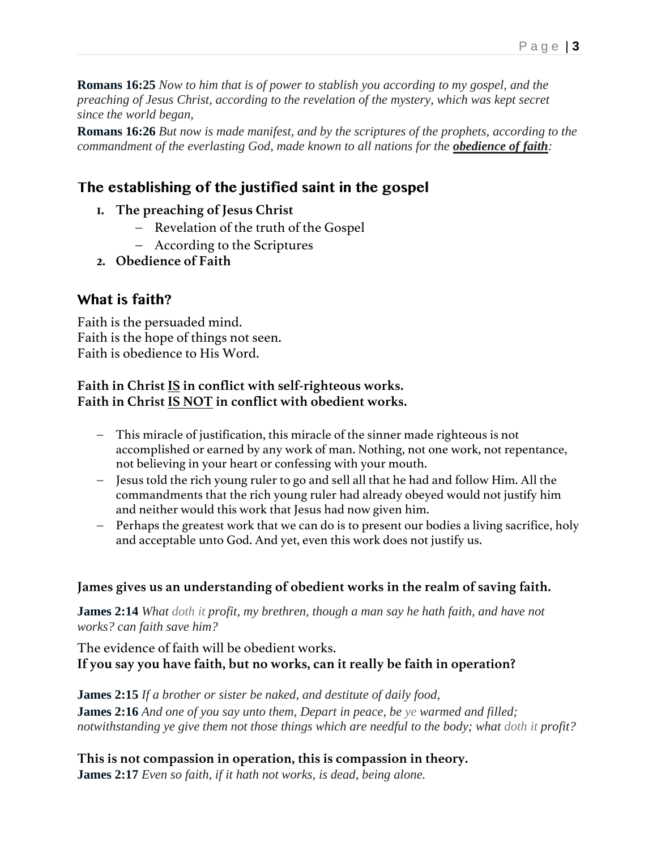**Romans 16:25** *Now to him that is of power to stablish you according to my gospel, and the preaching of Jesus Christ, according to the revelation of the mystery, which was kept secret since the world began,*

**Romans 16:26** *But now is made manifest, and by the scriptures of the prophets, according to the commandment of the everlasting God, made known to all nations for the obedience of faith:*

# **The establishing of the justified saint in the gospel**

- **1. The preaching of Jesus Christ**
	- − Revelation of the truth of the Gospel
	- − According to the Scriptures
- **2. Obedience of Faith**

### **What is faith?**

Faith is the persuaded mind. Faith is the hope of things not seen. Faith is obedience to His Word.

#### **Faith in Christ IS in conflict with self-righteous works. Faith in Christ IS NOT in conflict with obedient works.**

- − This miracle of justification, this miracle of the sinner made righteous is not accomplished or earned by any work of man. Nothing, not one work, not repentance, not believing in your heart or confessing with your mouth.
- − Jesus told the rich young ruler to go and sell all that he had and follow Him. All the commandments that the rich young ruler had already obeyed would not justify him and neither would this work that Jesus had now given him.
- − Perhaps the greatest work that we can do is to present our bodies a living sacrifice, holy and acceptable unto God. And yet, even this work does not justify us.

#### **James gives us an understanding of obedient works in the realm of saving faith.**

**James 2:14** *What doth it profit, my brethren, though a man say he hath faith, and have not works? can faith save him?*

The evidence of faith will be obedient works. **If you say you have faith, but no works, can it really be faith in operation?**

**James 2:15** *If a brother or sister be naked, and destitute of daily food,*

**James 2:16** *And one of you say unto them, Depart in peace, be ye warmed and filled; notwithstanding ye give them not those things which are needful to the body; what doth it profit?*

**This is not compassion in operation, this is compassion in theory. James 2:17** *Even so faith, if it hath not works, is dead, being alone.*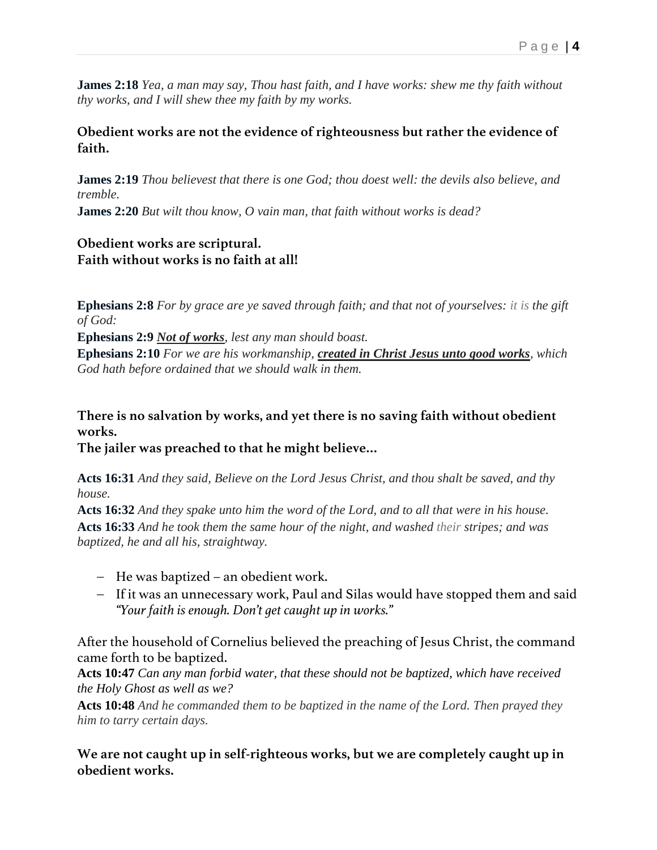**James 2:18** *Yea, a man may say, Thou hast faith, and I have works: shew me thy faith without thy works, and I will shew thee my faith by my works.*

**Obedient works are not the evidence of righteousness but rather the evidence of faith.**

**James 2:19** *Thou believest that there is one God; thou doest well: the devils also believe, and tremble.*

**James 2:20** *But wilt thou know, O vain man, that faith without works is dead?*

**Obedient works are scriptural. Faith without works is no faith at all!**

**Ephesians 2:8** *For by grace are ye saved through faith; and that not of yourselves: it is the gift of God:*

**Ephesians 2:9** *Not of works, lest any man should boast.*

**Ephesians 2:10** *For we are his workmanship, created in Christ Jesus unto good works, which God hath before ordained that we should walk in them.*

**There is no salvation by works, and yet there is no saving faith without obedient works.**

**The jailer was preached to that he might believe…**

**Acts 16:31** *And they said, Believe on the Lord Jesus Christ, and thou shalt be saved, and thy house.*

**Acts 16:32** *And they spake unto him the word of the Lord, and to all that were in his house.* **Acts 16:33** *And he took them the same hour of the night, and washed their stripes; and was baptized, he and all his, straightway.*

- − He was baptized an obedient work.
- − If it was an unnecessary work, Paul and Silas would have stopped them and said *"Your faith is enough. Don't get caught up in works."*

After the household of Cornelius believed the preaching of Jesus Christ, the command came forth to be baptized.

**Acts 10:47** *Can any man forbid water, that these should not be baptized, which have received the Holy Ghost as well as we?*

**Acts 10:48** *And he commanded them to be baptized in the name of the Lord. Then prayed they him to tarry certain days.*

### **We are not caught up in self-righteous works, but we are completely caught up in obedient works.**